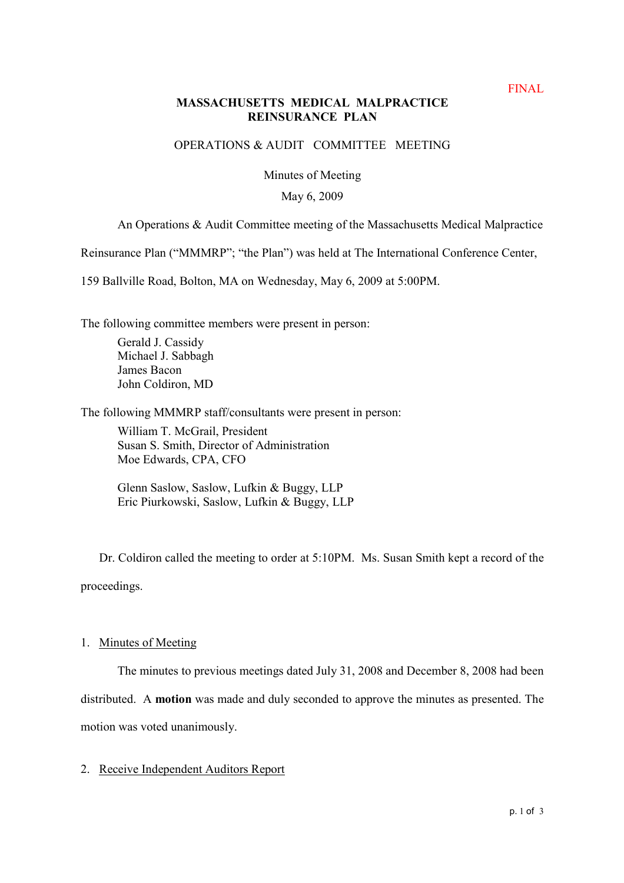# **MASSACHUSETTS MEDICAL MALPRACTICE REINSURANCE PLAN**

## OPERATIONS & AUDIT COMMITTEE MEETING

Minutes of Meeting

### May 6, 2009

## An Operations & Audit Committee meeting of the Massachusetts Medical Malpractice

Reinsurance Plan ("MMMRP"; "the Plan") was held at The International Conference Center,

159 Ballville Road, Bolton, MA on Wednesday, May 6, 2009 at 5:00PM.

The following committee members were present in person:

Gerald J. Cassidy Michael J. Sabbagh James Bacon John Coldiron, MD

The following MMMRP staff/consultants were present in person:

William T. McGrail, President Susan S. Smith, Director of Administration Moe Edwards, CPA, CFO

Glenn Saslow, Saslow, Lufkin & Buggy, LLP Eric Piurkowski, Saslow, Lufkin & Buggy, LLP

Dr. Coldiron called the meeting to order at 5:10PM. Ms. Susan Smith kept a record of the proceedings.

### 1. Minutes of Meeting

The minutes to previous meetings dated July 31, 2008 and December 8, 2008 had been distributed. A **motion** was made and duly seconded to approve the minutes as presented. The motion was voted unanimously.

## 2. Receive Independent Auditors Report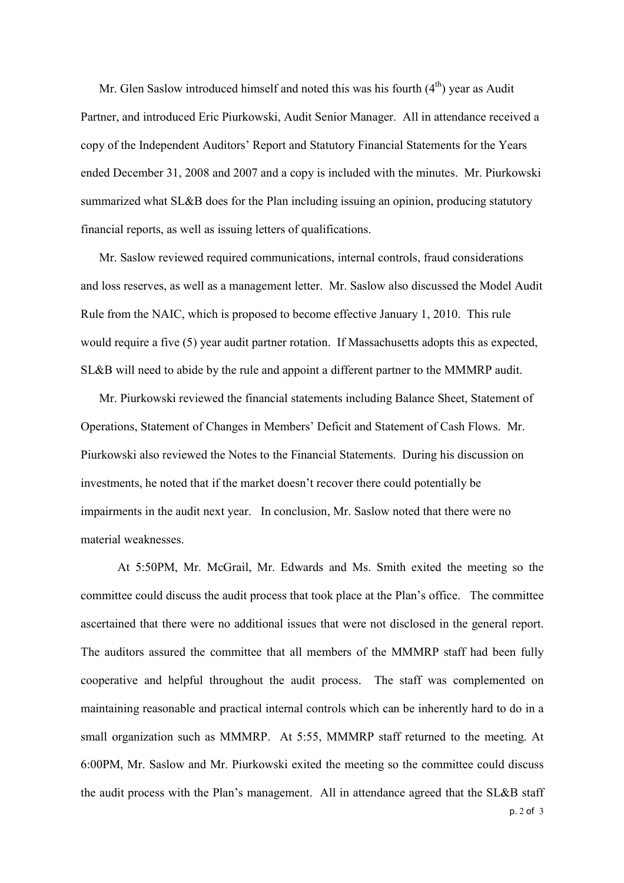Mr. Glen Saslow introduced himself and noted this was his fourth  $(4<sup>th</sup>)$  year as Audit Partner, and introduced Eric Piurkowski, Audit Senior Manager. All in attendance received a copy of the Independent Auditors' Report and Statutory Financial Statements for the Years ended December 31, 2008 and 2007 and a copy is included with the minutes. Mr. Piurkowski summarized what SL&B does for the Plan including issuing an opinion, producing statutory financial reports, as well as issuing letters of qualifications.

Mr. Saslow reviewed required communications, internal controls, fraud considerations and loss reserves, as well as a management letter. Mr. Saslow also discussed the Model Audit Rule from the NAIC, which is proposed to become effective January 1, 2010. This rule would require a five (5) year audit partner rotation. If Massachusetts adopts this as expected, SL&B will need to abide by the rule and appoint a different partner to the MMMRP audit.

Mr. Piurkowski reviewed the financial statements including Balance Sheet, Statement of Operations, Statement of Changes in Members' Deficit and Statement of Cash Flows. Mr. Piurkowski also reviewed the Notes to the Financial Statements. During his discussion on investments, he noted that if the market doesn't recover there could potentially be impairments in the audit next year. In conclusion, Mr. Saslow noted that there were no material weaknesses.

p. 2 of 3 At 5:50PM, Mr. McGrail, Mr. Edwards and Ms. Smith exited the meeting so the committee could discuss the audit process that took place at the Plan's office. The committee ascertained that there were no additional issues that were not disclosed in the general report. The auditors assured the committee that all members of the MMMRP staff had been fully cooperative and helpful throughout the audit process. The staff was complemented on maintaining reasonable and practical internal controls which can be inherently hard to do in a small organization such as MMMRP. At 5:55, MMMRP staff returned to the meeting. At 6:00PM, Mr. Saslow and Mr. Piurkowski exited the meeting so the committee could discuss the audit process with the Plan's management. All in attendance agreed that the SL&B staff